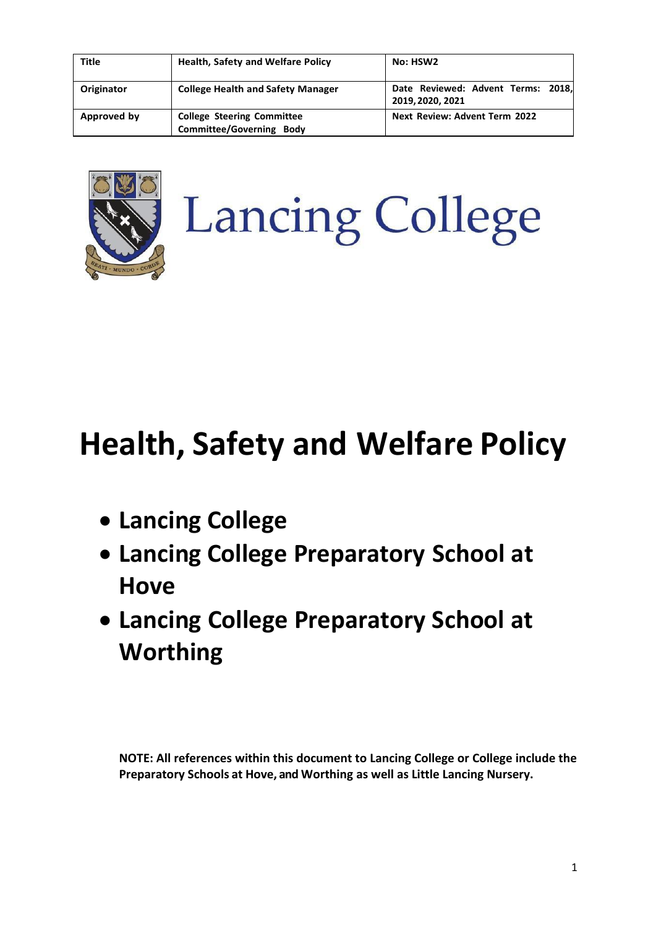| <b>Title</b> | <b>Health, Safety and Welfare Policy</b>                             | No: HSW2                                               |
|--------------|----------------------------------------------------------------------|--------------------------------------------------------|
| Originator   | <b>College Health and Safety Manager</b>                             | Date Reviewed: Advent Terms: 2018,<br>2019, 2020, 2021 |
| Approved by  | <b>College Steering Committee</b><br><b>Committee/Governing Body</b> | <b>Next Review: Advent Term 2022</b>                   |



# **Lancing College**

# **Health, Safety and Welfare Policy**

- **Lancing College**
- **Lancing College Preparatory School at Hove**
- **Lancing College Preparatory School at Worthing**

**NOTE: All references within this document to Lancing College or College include the Preparatory Schools at Hove, and Worthing as well as Little Lancing Nursery.**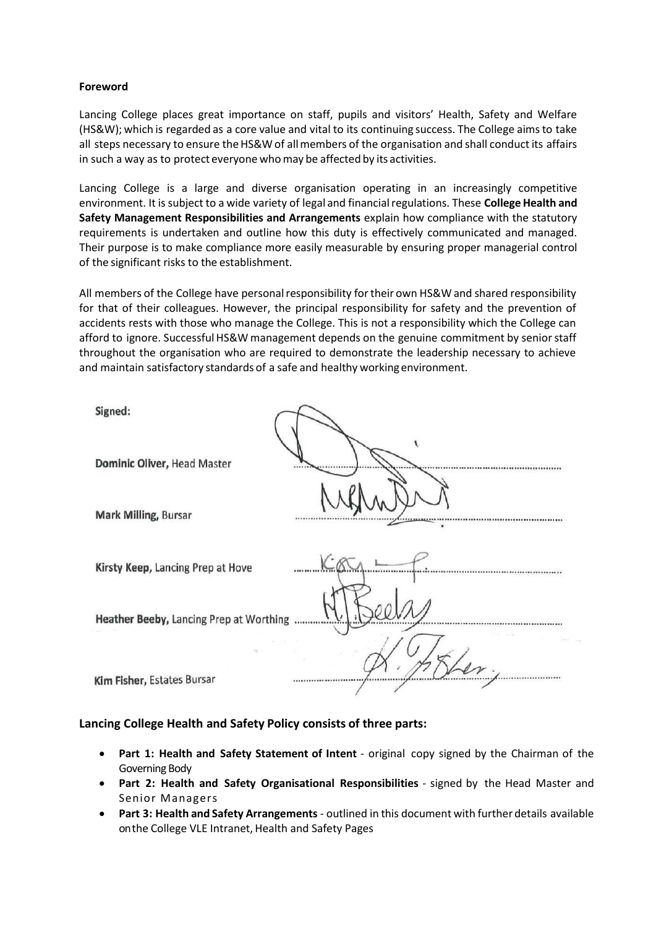#### **Foreword**

Lancing College places great importance on staff, pupils and visitors' Health, Safety and Welfare (HS&W); which is regarded as a core value and vital to its continuing success. The College aimsto take all steps necessary to ensure the HS&W of all members of the organisation and shall conduct its affairs in such a way as to protect everyone whomay be affected by its activities.

Lancing College is a large and diverse organisation operating in an increasingly competitive environment. It is subject to a wide variety of legal and financial regulations. These **College Health and Safety Management Responsibilities and Arrangements** explain how compliance with the statutory requirements is undertaken and outline how this duty is effectively communicated and managed. Their purpose is to make compliance more easily measurable by ensuring proper managerial control of the significant risks to the establishment.

All members of the College have personalresponsibility fortheir own HS&W and shared responsibility for that of their colleagues. However, the principal responsibility for safety and the prevention of accidents rests with those who manage the College. This is not a responsibility which the College can afford to ignore. Successful HS&W management depends on the genuine commitment by senior staff throughout the organisation who are required to demonstrate the leadership necessary to achieve and maintain satisfactory standards of a safe and healthy working environment.

| Signed:                                 |  |
|-----------------------------------------|--|
| Dominic Oliver, Head Master             |  |
| <b>Mark Milling, Bursar</b>             |  |
| Kirsty Keep, Lancing Prep at Hove       |  |
| Heather Beeby, Lancing Prep at Worthing |  |
| Kim Fisher, Estates Bursar              |  |

#### **Lancing College Health and Safety Policy consists of three parts:**

- **Part 1: Health and Safety Statement of Intent** original copy signed by the Chairman of the Governing Body
- **Part 2: Health and Safety Organisational Responsibilities** signed by the Head Master and Senior Managers
- **Part 3: Health and Safety Arrangements** outlined in this document with further details available onthe College VLE Intranet, Health and Safety Pages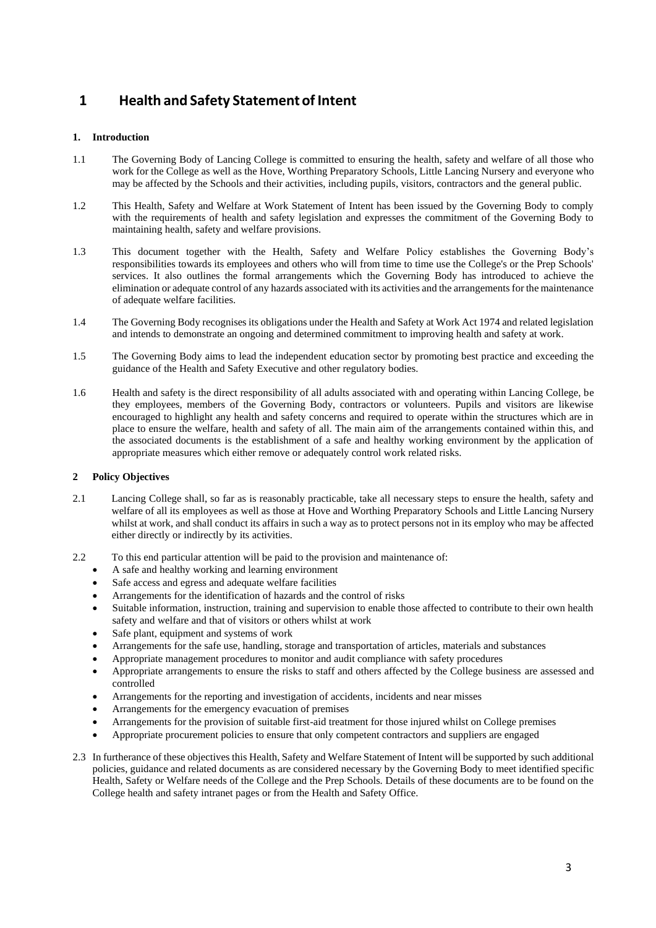# **1 Health and Safety StatementofIntent**

#### **1. Introduction**

- 1.1 The Governing Body of Lancing College is committed to ensuring the health, safety and welfare of all those who work for the College as well as the Hove, Worthing Preparatory Schools, Little Lancing Nursery and everyone who may be affected by the Schools and their activities, including pupils, visitors, contractors and the general public.
- 1.2 This Health, Safety and Welfare at Work Statement of Intent has been issued by the Governing Body to comply with the requirements of health and safety legislation and expresses the commitment of the Governing Body to maintaining health, safety and welfare provisions.
- 1.3 This document together with the Health, Safety and Welfare Policy establishes the Governing Body's responsibilities towards its employees and others who will from time to time use the College's or the Prep Schools' services. It also outlines the formal arrangements which the Governing Body has introduced to achieve the elimination or adequate control of any hazards associated with its activities and the arrangements for the maintenance of adequate welfare facilities.
- 1.4 The Governing Body recognises its obligations under the Health and Safety at Work Act 1974 and related legislation and intends to demonstrate an ongoing and determined commitment to improving health and safety at work.
- 1.5 The Governing Body aims to lead the independent education sector by promoting best practice and exceeding the guidance of the Health and Safety Executive and other regulatory bodies.
- 1.6 Health and safety is the direct responsibility of all adults associated with and operating within Lancing College, be they employees, members of the Governing Body, contractors or volunteers. Pupils and visitors are likewise encouraged to highlight any health and safety concerns and required to operate within the structures which are in place to ensure the welfare, health and safety of all. The main aim of the arrangements contained within this, and the associated documents is the establishment of a safe and healthy working environment by the application of appropriate measures which either remove or adequately control work related risks.

#### **2 Policy Objectives**

- 2.1 Lancing College shall, so far as is reasonably practicable, take all necessary steps to ensure the health, safety and welfare of all its employees as well as those at Hove and Worthing Preparatory Schools and Little Lancing Nursery whilst at work, and shall conduct its affairs in such a way as to protect persons not in its employ who may be affected either directly or indirectly by its activities.
- 2.2 To this end particular attention will be paid to the provision and maintenance of:
	- A safe and healthy working and learning environment
	- Safe access and egress and adequate welfare facilities
	- Arrangements for the identification of hazards and the control of risks
	- Suitable information, instruction, training and supervision to enable those affected to contribute to their own health safety and welfare and that of visitors or others whilst at work
	- Safe plant, equipment and systems of work
	- Arrangements for the safe use, handling, storage and transportation of articles, materials and substances
	- Appropriate management procedures to monitor and audit compliance with safety procedures
	- Appropriate arrangements to ensure the risks to staff and others affected by the College business are assessed and controlled
	- Arrangements for the reporting and investigation of accidents, incidents and near misses
	- Arrangements for the emergency evacuation of premises
	- Arrangements for the provision of suitable first-aid treatment for those injured whilst on College premises
	- Appropriate procurement policies to ensure that only competent contractors and suppliers are engaged
- 2.3 In furtherance of these objectives this Health, Safety and Welfare Statement of Intent will be supported by such additional policies, guidance and related documents as are considered necessary by the Governing Body to meet identified specific Health, Safety or Welfare needs of the College and the Prep Schools. Details of these documents are to be found on the College health and safety intranet pages or from the Health and Safety Office.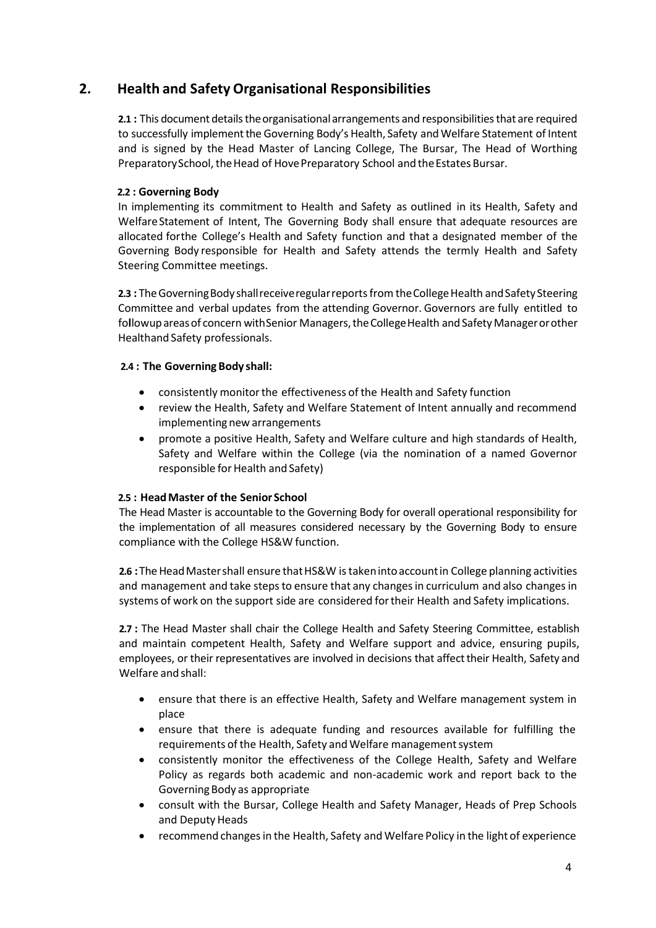## **2. Health and Safety Organisational Responsibilities**

**2.1 :** This document details the organisational arrangements and responsibilities that are required to successfully implement the Governing Body's Health, Safety and Welfare Statement of Intent and is signed by the Head Master of Lancing College, The Bursar, The Head of Worthing Preparatory School, the Head of Hove Preparatory School and the Estates Bursar.

#### **2.2 : Governing Body**

In implementing its commitment to Health and Safety as outlined in its Health, Safety and WelfareStatement of Intent, The Governing Body shall ensure that adequate resources are allocated forthe College's Health and Safety function and that a designated member of the Governing Body responsible for Health and Safety attends the termly Health and Safety Steering Committee meetings.

**2.3** : The Governing Body shall receive regular reports from the College Health and Safety Steering Committee and verbal updates from the attending Governor. Governors are fully entitled to followup areas of concern with Senior Managers, the College Health and Safety Manager or other Healthand Safety professionals.

#### **2.4 : The Governing Body shall:**

- consistently monitorthe effectiveness of the Health and Safety function
- review the Health, Safety and Welfare Statement of Intent annually and recommend implementing new arrangements
- promote a positive Health, Safety and Welfare culture and high standards of Health, Safety and Welfare within the College (via the nomination of a named Governor responsible for Health and Safety)

#### **2.5 : HeadMaster of the Senior School**

The Head Master is accountable to the Governing Body for overall operational responsibility for the implementation of all measures considered necessary by the Governing Body to ensure compliance with the College HS&W function.

**2.6** : The Head Master shall ensure that HS&W is taken into account in College planning activities and management and take steps to ensure that any changes in curriculum and also changes in systems of work on the support side are considered fortheir Health and Safety implications.

**2.7 :** The Head Master shall chair the College Health and Safety Steering Committee, establish and maintain competent Health, Safety and Welfare support and advice, ensuring pupils, employees, or their representatives are involved in decisions that affect their Health, Safety and Welfare and shall:

- ensure that there is an effective Health, Safety and Welfare management system in place
- ensure that there is adequate funding and resources available for fulfilling the requirements of the Health, Safety and Welfare managementsystem
- consistently monitor the effectiveness of the College Health, Safety and Welfare Policy as regards both academic and non-academic work and report back to the Governing Body as appropriate
- consult with the Bursar, College Health and Safety Manager, Heads of Prep Schools and Deputy Heads
- recommend changesin the Health, Safety and Welfare Policy in the light of experience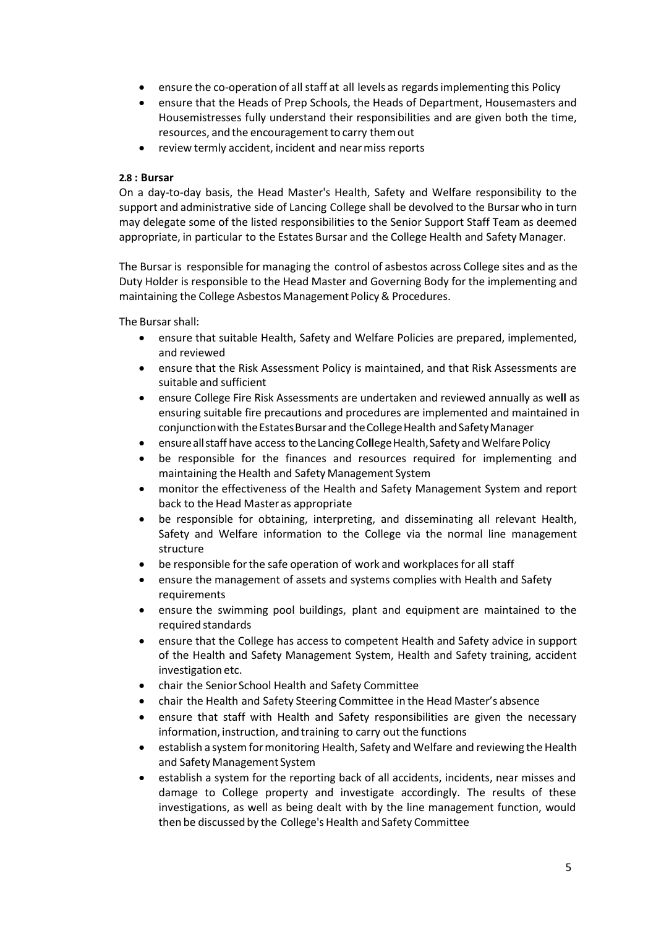- ensure the co-operation of all staff at all levels as regards implementing this Policy
- ensure that the Heads of Prep Schools, the Heads of Department, Housemasters and Housemistresses fully understand their responsibilities and are given both the time, resources, and the encouragement to carry them out
- review termly accident, incident and nearmiss reports

#### **2.8 : Bursar**

On a day-to-day basis, the Head Master's Health, Safety and Welfare responsibility to the support and administrative side of Lancing College shall be devolved to the Bursarwho in turn may delegate some of the listed responsibilities to the Senior Support Staff Team as deemed appropriate, in particular to the Estates Bursar and the College Health and Safety Manager.

The Bursar is responsible for managing the control of asbestos across College sites and as the Duty Holder is responsible to the Head Master and Governing Body for the implementing and maintaining the College Asbestos Management Policy & Procedures.

The Bursar shall:

- ensure that suitable Health, Safety and Welfare Policies are prepared, implemented, and reviewed
- ensure that the Risk Assessment Policy is maintained, and that Risk Assessments are suitable and sufficient
- ensure College Fire Risk Assessments are undertaken and reviewed annually as we**ll** as ensuring suitable fire precautions and procedures are implemented and maintained in conjunction with the Estates Bursar and the College Health and Safety Manager
- ensure all staff have access to the Lancing College Health, Safety and Welfare Policy
- be responsible for the finances and resources required for implementing and maintaining the Health and Safety Management System
- monitor the effectiveness of the Health and Safety Management System and report back to the Head Master as appropriate
- be responsible for obtaining, interpreting, and disseminating all relevant Health, Safety and Welfare information to the College via the normal line management structure
- be responsible for the safe operation of work and workplaces for all staff
- ensure the management of assets and systems complies with Health and Safety requirements
- ensure the swimming pool buildings, plant and equipment are maintained to the required standards
- ensure that the College has access to competent Health and Safety advice in support of the Health and Safety Management System, Health and Safety training, accident investigation etc.
- chair the Senior School Health and Safety Committee
- chair the Health and Safety Steering Committee in the Head Master's absence
- ensure that staff with Health and Safety responsibilities are given the necessary information, instruction, and training to carry out the functions
- establish a system for monitoring Health, Safety and Welfare and reviewing the Health and Safety Management System
- establish a system for the reporting back of all accidents, incidents, near misses and damage to College property and investigate accordingly. The results of these investigations, as well as being dealt with by the line management function, would then be discussed by the College's Health and Safety Committee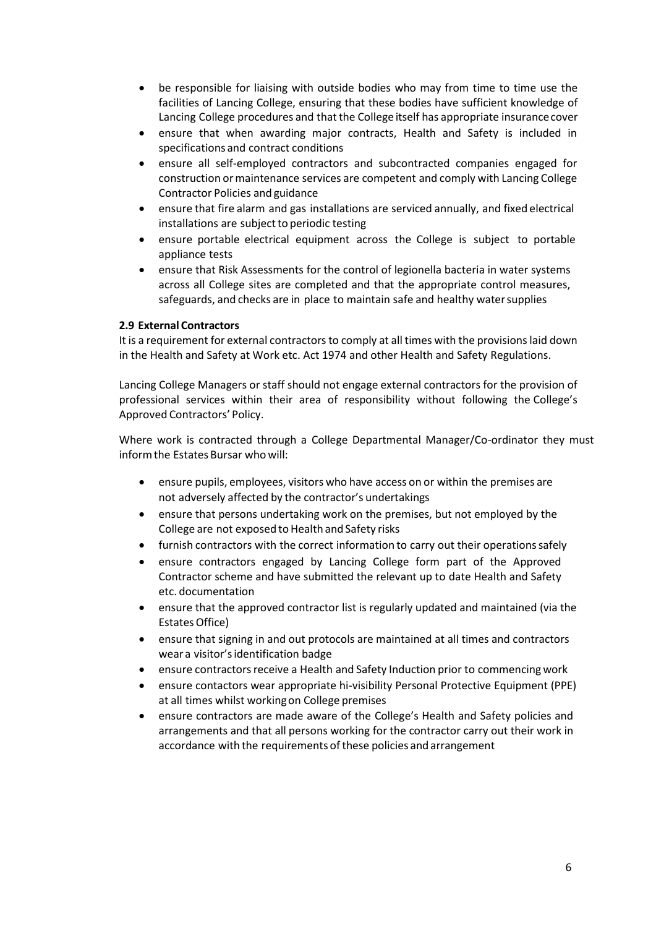- be responsible for liaising with outside bodies who may from time to time use the facilities of Lancing College, ensuring that these bodies have sufficient knowledge of Lancing College procedures and that the College itself has appropriate insurance cover
- ensure that when awarding major contracts, Health and Safety is included in specifications and contract conditions
- ensure all self-employed contractors and subcontracted companies engaged for construction ormaintenance services are competent and comply with Lancing College Contractor Policies and guidance
- ensure that fire alarm and gas installations are serviced annually, and fixed electrical installations are subject to periodic testing
- ensure portable electrical equipment across the College is subject to portable appliance tests
- ensure that Risk Assessments for the control of legionella bacteria in water systems across all College sites are completed and that the appropriate control measures, safeguards, and checks are in place to maintain safe and healthy watersupplies

#### **2.9 External Contractors**

It is a requirement for external contractors to comply at all times with the provisions laid down in the Health and Safety at Work etc. Act 1974 and other Health and Safety Regulations.

Lancing College Managers or staff should not engage external contractors for the provision of professional services within their area of responsibility without following the College's Approved Contractors' Policy.

Where work is contracted through a College Departmental Manager/Co-ordinator they must informthe Estates Bursar who will:

- ensure pupils, employees, visitors who have access on or within the premises are not adversely affected by the contractor's undertakings
- ensure that persons undertaking work on the premises, but not employed by the College are not exposed to Health and Safety risks
- furnish contractors with the correct information to carry out their operations safely
- ensure contractors engaged by Lancing College form part of the Approved Contractor scheme and have submitted the relevant up to date Health and Safety etc. documentation
- ensure that the approved contractor list is regularly updated and maintained (via the Estates Office)
- ensure that signing in and out protocols are maintained at all times and contractors wear a visitor'sidentification badge
- ensure contractors receive a Health and Safety Induction prior to commencing work
- ensure contactors wear appropriate hi-visibility Personal Protective Equipment (PPE) at all times whilst workingon College premises
- ensure contractors are made aware of the College's Health and Safety policies and arrangements and that all persons working for the contractor carry out their work in accordance with the requirements of these policies and arrangement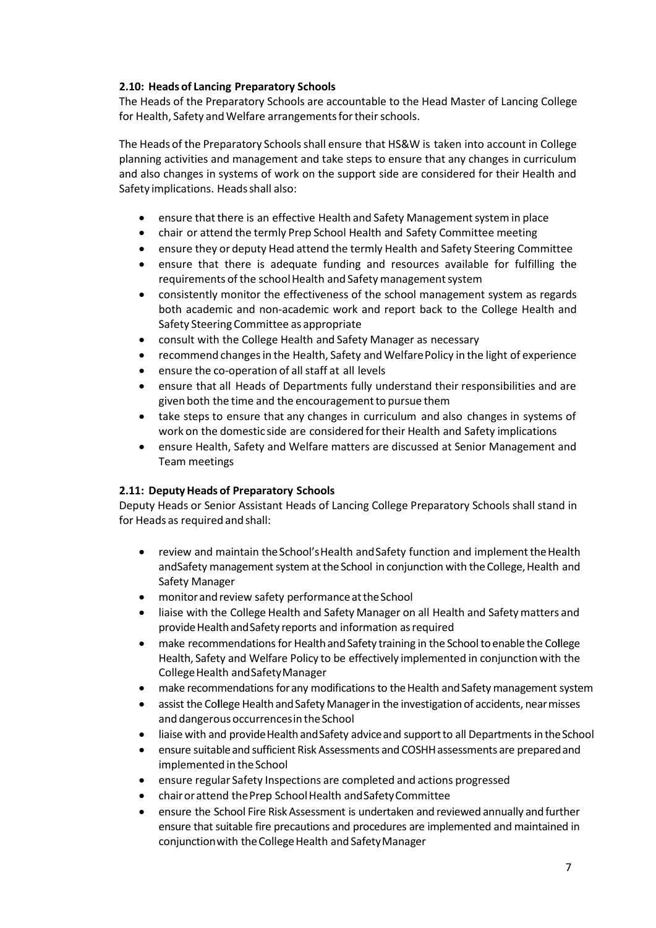#### **2.10: Heads of Lancing Preparatory Schools**

The Heads of the Preparatory Schools are accountable to the Head Master of Lancing College for Health, Safety and Welfare arrangements for their schools.

The Heads of the Preparatory Schoolsshall ensure that HS&W is taken into account in College planning activities and management and take steps to ensure that any changes in curriculum and also changes in systems of work on the support side are considered for their Health and Safety implications. Headsshall also:

- ensure that there is an effective Health and Safety Management system in place
- chair or attend the termly Prep School Health and Safety Committee meeting
- ensure they or deputy Head attend the termly Health and Safety Steering Committee
- ensure that there is adequate funding and resources available for fulfilling the requirements of the school Health and Safety management system
- consistently monitor the effectiveness of the school management system as regards both academic and non-academic work and report back to the College Health and Safety Steering Committee as appropriate
- consult with the College Health and Safety Manager as necessary
- recommend changesin the Health, Safety and WelfarePolicy in the light of experience
- ensure the co-operation of all staff at all levels
- ensure that all Heads of Departments fully understand their responsibilities and are given both the time and the encouragement to pursue them
- take steps to ensure that any changes in curriculum and also changes in systems of work on the domestic side are considered fortheir Health and Safety implications
- ensure Health, Safety and Welfare matters are discussed at Senior Management and Team meetings

#### **2.11: DeputyHeads of Preparatory Schools**

Deputy Heads or Senior Assistant Heads of Lancing College Preparatory Schools shall stand in for Heads as required and shall:

- review and maintain the School's Health and Safety function and implement the Health andSafety management system at the School in conjunction with the College, Health and Safety Manager
- monitor and review safety performance at the School
- liaise with the College Health and Safety Manager on all Health and Safetymatters and provide Health and Safety reports and information as required
- make recommendations for Health and Safety training in the School to enable the College Health, Safety and Welfare Policy to be effectively implemented in conjunctionwith the CollegeHealth andSafetyManager
- make recommendations for any modifications to the Health and Safety management system
- assist the College Health and Safety Manager in the investigation of accidents, near misses and dangerous occurrences in the School
- liaise with and provide Health and Safety advice and support to all Departments in the School
- ensure suitable and sufficient Risk Assessments and COSHH assessments are prepared and implemented in the School
- ensure regular Safety Inspections are completed and actions progressed
- chair or attend the Prep School Health and Safety Committee
- ensure the School Fire Risk Assessment is undertaken and reviewed annually and further ensure that suitable fire precautions and procedures are implemented and maintained in conjunction with the College Health and Safety Manager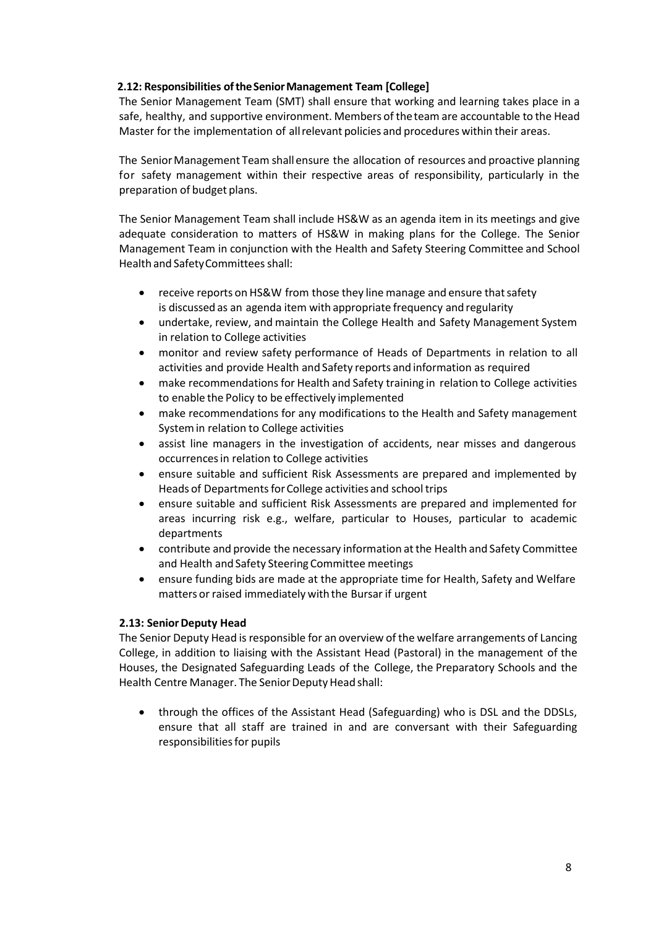#### **2.12: Responsibilities oftheSeniorManagement Team [College]**

The Senior Management Team (SMT) shall ensure that working and learning takes place in a safe, healthy, and supportive environment. Members of theteam are accountable to the Head Master for the implementation of allrelevant policies and procedures within their areas.

The Senior Management Team shall ensure the allocation of resources and proactive planning for safety management within their respective areas of responsibility, particularly in the preparation of budget plans.

The Senior Management Team shall include HS&W as an agenda item in its meetings and give adequate consideration to matters of HS&W in making plans for the College. The Senior Management Team in conjunction with the Health and Safety Steering Committee and School Health and Safety Committees shall:

- receive reports on HS&W from those they line manage and ensure that safety is discussed as an agenda item with appropriate frequency and regularity
- undertake, review, and maintain the College Health and Safety Management System in relation to College activities
- monitor and review safety performance of Heads of Departments in relation to all activities and provide Health and Safety reports and information as required
- make recommendations for Health and Safety training in relation to College activities to enable the Policy to be effectively implemented
- make recommendations for any modifications to the Health and Safety management Systemin relation to College activities
- assist line managers in the investigation of accidents, near misses and dangerous occurrencesin relation to College activities
- ensure suitable and sufficient Risk Assessments are prepared and implemented by Heads of Departments for College activities and school trips
- ensure suitable and sufficient Risk Assessments are prepared and implemented for areas incurring risk e.g., welfare, particular to Houses, particular to academic departments
- contribute and provide the necessary information atthe Health and Safety Committee and Health and Safety Steering Committee meetings
- ensure funding bids are made at the appropriate time for Health, Safety and Welfare matters or raised immediately with the Bursar if urgent

#### **2.13: Senior Deputy Head**

The Senior Deputy Head is responsible for an overview of the welfare arrangements of Lancing College, in addition to liaising with the Assistant Head (Pastoral) in the management of the Houses, the Designated Safeguarding Leads of the College, the Preparatory Schools and the Health Centre Manager. The Senior Deputy Head shall:

• through the offices of the Assistant Head (Safeguarding) who is DSL and the DDSLs, ensure that all staff are trained in and are conversant with their Safeguarding responsibilities for pupils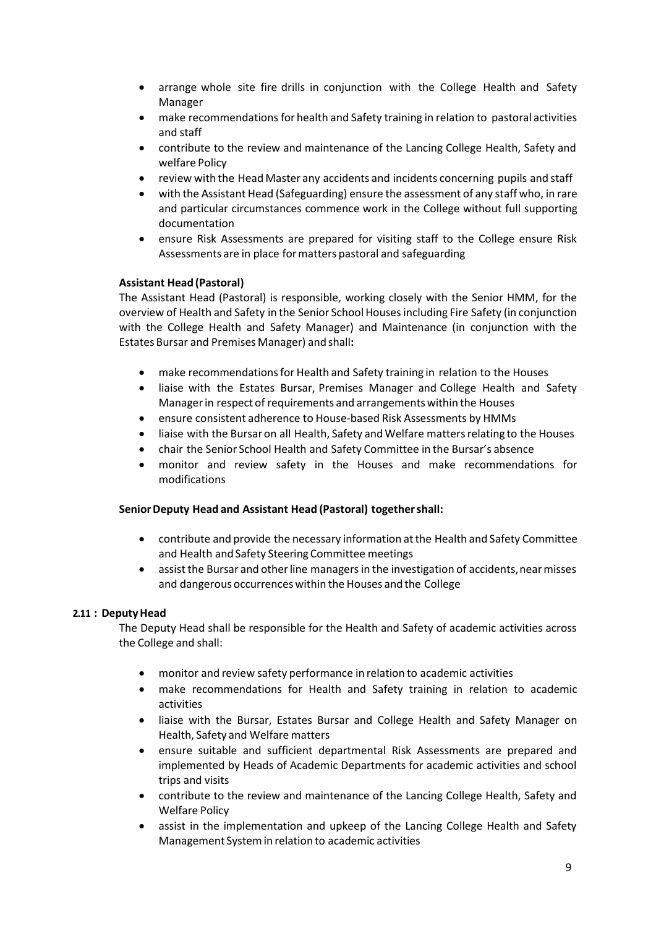- arrange whole site fire drills in conjunction with the College Health and Safety Manager
- make recommendationsfor health and Safety training in relation to pastoral activities and staff
- contribute to the review and maintenance of the Lancing College Health, Safety and welfare Policy
- review with the Head Master any accidents and incidents concerning pupils and staff
- with the Assistant Head (Safeguarding) ensure the assessment of any staff who, in rare and particular circumstances commence work in the College without full supporting documentation
- ensure Risk Assessments are prepared for visiting staff to the College ensure Risk Assessments are in place formatters pastoral and safeguarding

#### **Assistant Head (Pastoral)**

The Assistant Head (Pastoral) is responsible, working closely with the Senior HMM, for the overview of Health and Safety in the Senior School Houses including Fire Safety (in conjunction with the College Health and Safety Manager) and Maintenance (in conjunction with the Estates Bursar and Premises Manager) and shall**:**

- make recommendations for Health and Safety training in relation to the Houses
- liaise with the Estates Bursar, Premises Manager and College Health and Safety Managerin respect of requirements and arrangements within the Houses
- ensure consistent adherence to House-based Risk Assessments by HMMs
- liaise with the Bursar on all Health, Safety and Welfare matters relating to the Houses
- chair the Senior School Health and Safety Committee in the Bursar's absence
- monitor and review safety in the Houses and make recommendations for modifications

#### **SeniorDeputy Head and Assistant Head (Pastoral) togethershall:**

- contribute and provide the necessary information atthe Health and Safety Committee and Health and Safety Steering Committee meetings
- assist the Bursar and other line managers in the investigation of accidents, near misses and dangerous occurrences within the Houses and the College

#### **2.11 : DeputyHead**

The Deputy Head shall be responsible for the Health and Safety of academic activities across the College and shall:

- monitor and review safety performance in relation to academic activities
- make recommendations for Health and Safety training in relation to academic activities
- liaise with the Bursar, Estates Bursar and College Health and Safety Manager on Health, Safety and Welfare matters
- ensure suitable and sufficient departmental Risk Assessments are prepared and implemented by Heads of Academic Departments for academic activities and school trips and visits
- contribute to the review and maintenance of the Lancing College Health, Safety and Welfare Policy
- assist in the implementation and upkeep of the Lancing College Health and Safety Management Systemin relation to academic activities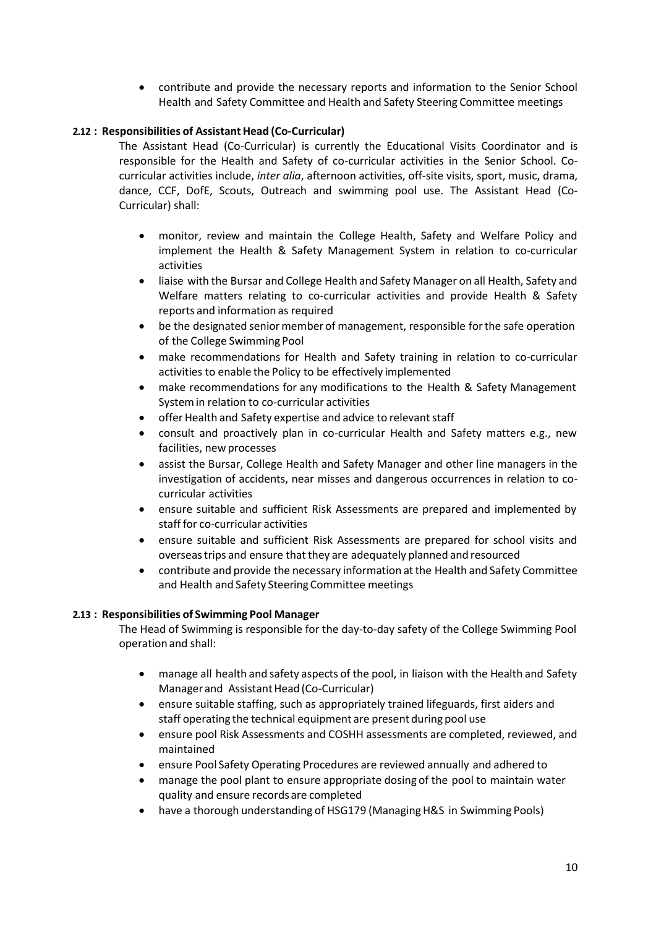• contribute and provide the necessary reports and information to the Senior School Health and Safety Committee and Health and Safety Steering Committee meetings

#### **2.12 : Responsibilities of AssistantHead (Co-Curricular)**

The Assistant Head (Co-Curricular) is currently the Educational Visits Coordinator and is responsible for the Health and Safety of co-curricular activities in the Senior School. Cocurricular activities include, *inter alia*, afternoon activities, off-site visits, sport, music, drama, dance, CCF, DofE, Scouts, Outreach and swimming pool use. The Assistant Head (Co-Curricular) shall:

- monitor, review and maintain the College Health, Safety and Welfare Policy and implement the Health & Safety Management System in relation to co-curricular activities
- liaise with the Bursar and College Health and Safety Manager on all Health, Safety and Welfare matters relating to co-curricular activities and provide Health & Safety reports and information as required
- be the designated senior member of management, responsible for the safe operation of the College Swimming Pool
- make recommendations for Health and Safety training in relation to co-curricular activities to enable the Policy to be effectively implemented
- make recommendations for any modifications to the Health & Safety Management Systemin relation to co-curricular activities
- offer Health and Safety expertise and advice to relevant staff
- consult and proactively plan in co-curricular Health and Safety matters e.g., new facilities, new processes
- assist the Bursar, College Health and Safety Manager and other line managers in the investigation of accidents, near misses and dangerous occurrences in relation to cocurricular activities
- ensure suitable and sufficient Risk Assessments are prepared and implemented by staff for co-curricular activities
- ensure suitable and sufficient Risk Assessments are prepared for school visits and overseastrips and ensure thatthey are adequately planned and resourced
- contribute and provide the necessary information atthe Health and Safety Committee and Health and Safety Steering Committee meetings

#### **2.13 : Responsibilities of Swimming Pool Manager**

The Head of Swimming is responsible for the day-to-day safety of the College Swimming Pool operation and shall:

- manage all health and safety aspects of the pool, in liaison with the Health and Safety Manager and Assistant Head (Co-Curricular)
- ensure suitable staffing, such as appropriately trained lifeguards, first aiders and staff operating the technical equipment are present during pool use
- ensure pool Risk Assessments and COSHH assessments are completed, reviewed, and maintained
- ensure Pool Safety Operating Procedures are reviewed annually and adhered to
- manage the pool plant to ensure appropriate dosing of the pool to maintain water quality and ensure records are completed
- have a thorough understanding of HSG179 (Managing H&S in Swimming Pools)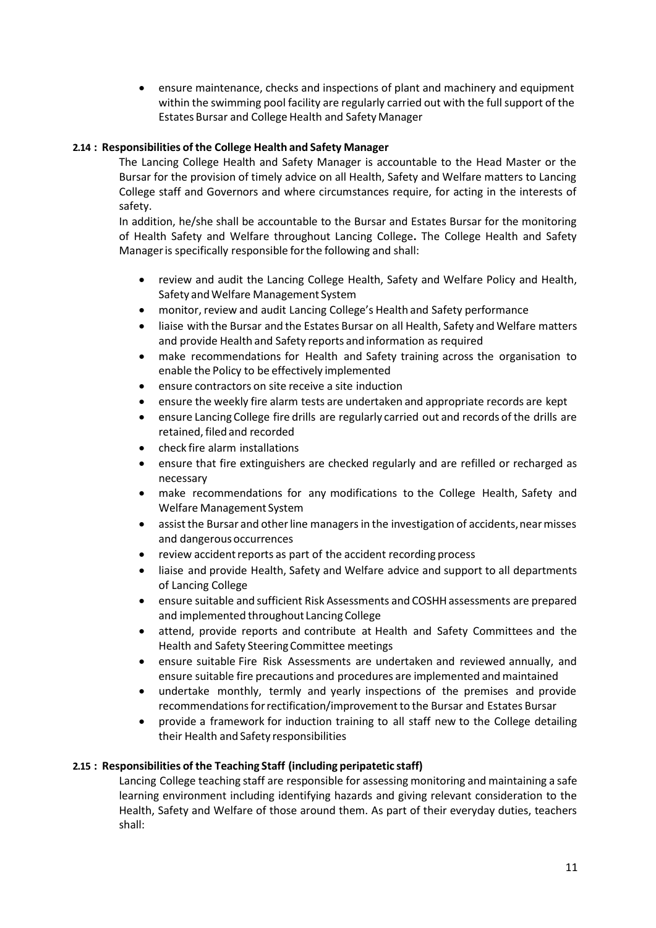• ensure maintenance, checks and inspections of plant and machinery and equipment within the swimming pool facility are regularly carried out with the full support of the Estates Bursar and College Health and Safety Manager

#### **2.14 : Responsibilities of the College Health and Safety Manager**

The Lancing College Health and Safety Manager is accountable to the Head Master or the Bursar for the provision of timely advice on all Health, Safety and Welfare matters to Lancing College staff and Governors and where circumstances require, for acting in the interests of safety.

In addition, he/she shall be accountable to the Bursar and Estates Bursar for the monitoring of Health Safety and Welfare throughout Lancing College**.** The College Health and Safety Manageris specifically responsible forthe following and shall:

- review and audit the Lancing College Health, Safety and Welfare Policy and Health, Safety andWelfare Management System
- monitor, review and audit Lancing College's Health and Safety performance
- liaise with the Bursar and the Estates Bursar on all Health, Safety and Welfare matters and provide Health and Safety reports and information as required
- make recommendations for Health and Safety training across the organisation to enable the Policy to be effectively implemented
- ensure contractors on site receive a site induction
- ensure the weekly fire alarm tests are undertaken and appropriate records are kept
- ensure Lancing College fire drills are regularly carried out and records of the drills are retained, filed and recorded
- check fire alarm installations
- ensure that fire extinguishers are checked regularly and are refilled or recharged as necessary
- make recommendations for any modifications to the College Health, Safety and Welfare Management System
- assist the Bursar and other line managers in the investigation of accidents, near misses and dangerous occurrences
- review accident reports as part of the accident recording process
- liaise and provide Health, Safety and Welfare advice and support to all departments of Lancing College
- ensure suitable and sufficient Risk Assessments and COSHHassessments are prepared and implemented throughout Lancing College
- attend, provide reports and contribute at Health and Safety Committees and the Health and Safety SteeringCommittee meetings
- ensure suitable Fire Risk Assessments are undertaken and reviewed annually, and ensure suitable fire precautions and procedures are implemented and maintained
- undertake monthly, termly and yearly inspections of the premises and provide recommendations for rectification/improvement to the Bursar and Estates Bursar
- provide a framework for induction training to all staff new to the College detailing their Health and Safety responsibilities

#### **2.15 : Responsibilities of the Teaching Staff (including peripatetic staff)**

Lancing College teaching staff are responsible for assessing monitoring and maintaining a safe learning environment including identifying hazards and giving relevant consideration to the Health, Safety and Welfare of those around them. As part of their everyday duties, teachers shall: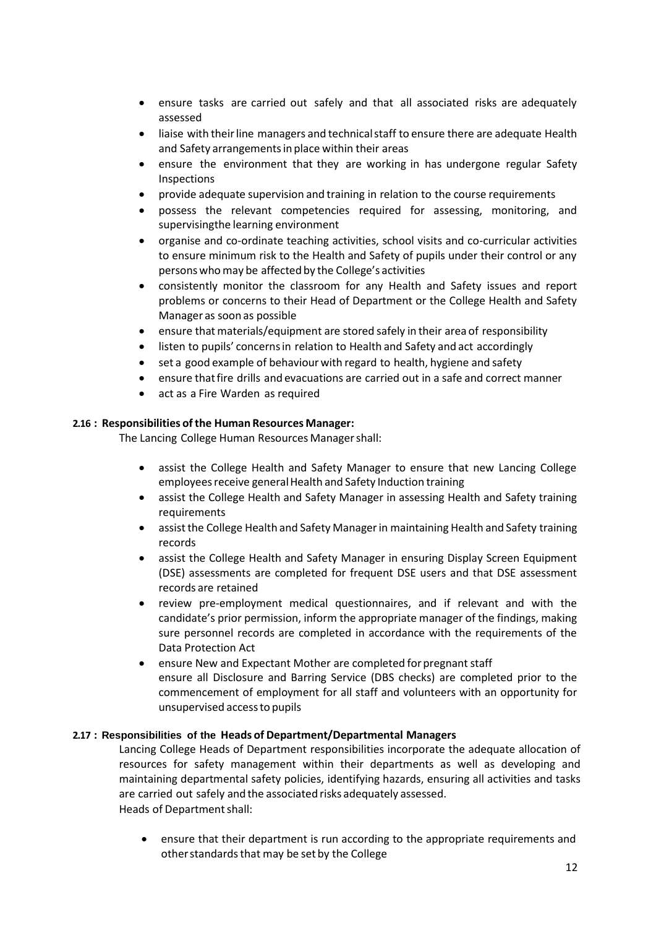- ensure tasks are carried out safely and that all associated risks are adequately assessed
- liaise with their line managers and technical staff to ensure there are adequate Health and Safety arrangementsin place within their areas
- ensure the environment that they are working in has undergone regular Safety Inspections
- provide adequate supervision and training in relation to the course requirements
- possess the relevant competencies required for assessing, monitoring, and supervisingthe learning environment
- organise and co-ordinate teaching activities, school visits and co-curricular activities to ensure minimum risk to the Health and Safety of pupils under their control or any persons whomay be affected by the College's activities
- consistently monitor the classroom for any Health and Safety issues and report problems or concerns to their Head of Department or the College Health and Safety Manager as soon as possible
- ensure that materials/equipment are stored safely in their area of responsibility
- listen to pupils' concernsin relation to Health and Safety and act accordingly
- set a good example of behaviour with regard to health, hygiene and safety
- ensure thatfire drills and evacuations are carried out in a safe and correct manner
- act as a Fire Warden as required

#### **2.16 : Responsibilities of the Human Resources Manager:**

The Lancing College Human Resources Managershall:

- assist the College Health and Safety Manager to ensure that new Lancing College employees receive general Health and Safety Induction training
- assist the College Health and Safety Manager in assessing Health and Safety training requirements
- assistthe College Health and Safety Managerin maintaining Health and Safety training records
- assist the College Health and Safety Manager in ensuring Display Screen Equipment (DSE) assessments are completed for frequent DSE users and that DSE assessment records are retained
- review pre-employment medical questionnaires, and if relevant and with the candidate's prior permission, inform the appropriate manager of the findings, making sure personnel records are completed in accordance with the requirements of the Data Protection Act
- ensure New and Expectant Mother are completed for pregnant staff ensure all Disclosure and Barring Service (DBS checks) are completed prior to the commencement of employment for all staff and volunteers with an opportunity for unsupervised accessto pupils

#### **2.17 : Responsibilities of the Heads of Department/Departmental Managers**

Lancing College Heads of Department responsibilities incorporate the adequate allocation of resources for safety management within their departments as well as developing and maintaining departmental safety policies, identifying hazards, ensuring all activities and tasks are carried out safely and the associated risks adequately assessed. Heads of Department shall:

• ensure that their department is run according to the appropriate requirements and other standards that may be set by the College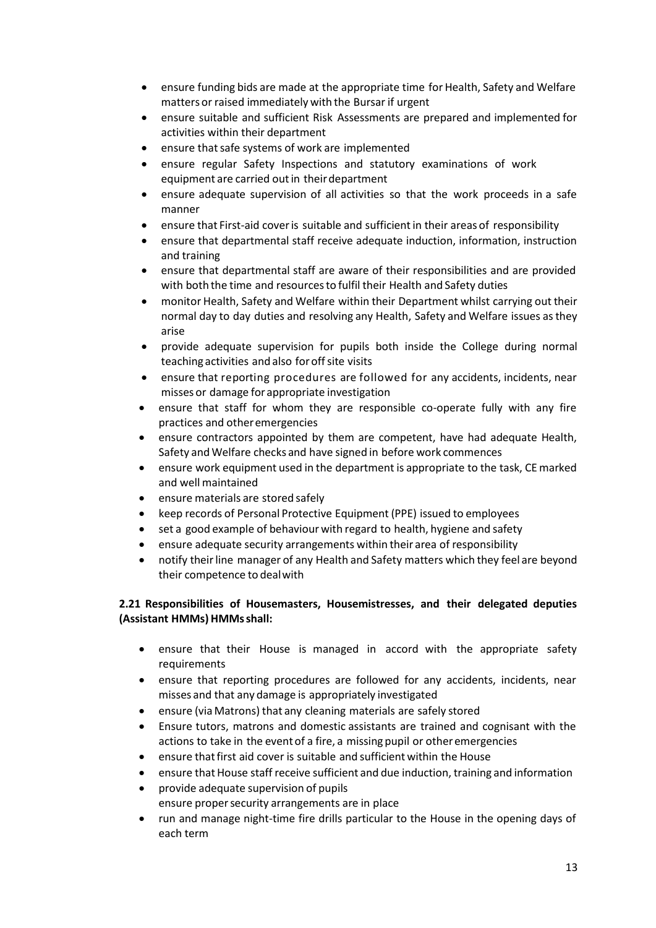- ensure funding bids are made at the appropriate time for Health, Safety and Welfare matters or raised immediately with the Bursar if urgent
- ensure suitable and sufficient Risk Assessments are prepared and implemented for activities within their department
- ensure that safe systems of work are implemented
- ensure regular Safety Inspections and statutory examinations of work equipment are carried outin theirdepartment
- ensure adequate supervision of all activities so that the work proceeds in a safe manner
- ensure that First-aid cover is suitable and sufficient in their areas of responsibility
- ensure that departmental staff receive adequate induction, information, instruction and training
- ensure that departmental staff are aware of their responsibilities and are provided with both the time and resourcesto fulfil their Health and Safety duties
- monitor Health, Safety and Welfare within their Department whilst carrying out their normal day to day duties and resolving any Health, Safety and Welfare issues asthey arise
- provide adequate supervision for pupils both inside the College during normal teaching activities and also for off site visits
- ensure that reporting procedures are followed for any accidents, incidents, near misses or damage forappropriate investigation
- ensure that staff for whom they are responsible co-operate fully with any fire practices and otheremergencies
- ensure contractors appointed by them are competent, have had adequate Health, Safety and Welfare checks and have signed in before work commences
- ensure work equipment used in the department is appropriate to the task, CEmarked and well maintained
- ensure materials are stored safely
- keep records of Personal Protective Equipment (PPE) issued to employees
- set a good example of behaviour with regard to health, hygiene and safety
- ensure adequate security arrangements within their area of responsibility
- notify theirline manager of any Health and Safety matters which they feel are beyond their competence to dealwith

#### **2.21 Responsibilities of Housemasters, Housemistresses, and their delegated deputies (Assistant HMMs) HMMsshall:**

- ensure that their House is managed in accord with the appropriate safety requirements
- ensure that reporting procedures are followed for any accidents, incidents, near misses and that any damage is appropriately investigated
- ensure (via Matrons) that any cleaning materials are safely stored
- Ensure tutors, matrons and domestic assistants are trained and cognisant with the actions to take in the event of a fire, a missing pupil or otheremergencies
- ensure that first aid cover is suitable and sufficient within the House
- ensure that House staff receive sufficient and due induction, training and information
- provide adequate supervision of pupils ensure propersecurity arrangements are in place
- run and manage night-time fire drills particular to the House in the opening days of each term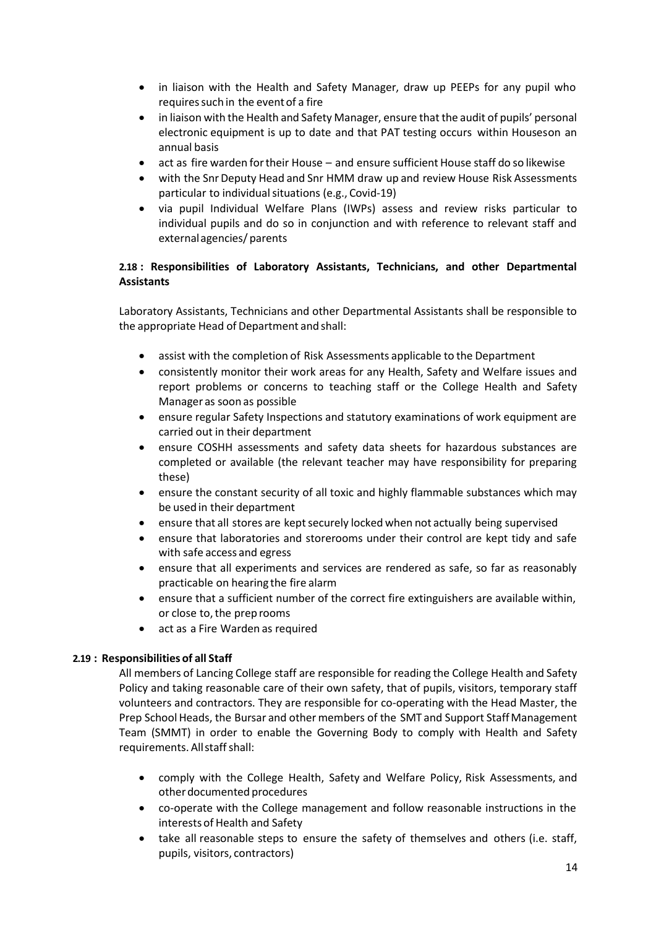- in liaison with the Health and Safety Manager, draw up PEEPs for any pupil who requires such in the event of a fire
- in liaison with the Health and Safety Manager, ensure that the audit of pupils' personal electronic equipment is up to date and that PAT testing occurs within Houseson an annual basis
- act as fire warden fortheir House and ensure sufficient House staff do so likewise
- with the Snr Deputy Head and Snr HMM draw up and review House Risk Assessments particular to individual situations (e.g., Covid-19)
- via pupil Individual Welfare Plans (IWPs) assess and review risks particular to individual pupils and do so in conjunction and with reference to relevant staff and externalagencies/ parents

#### **2.18 : Responsibilities of Laboratory Assistants, Technicians, and other Departmental Assistants**

Laboratory Assistants, Technicians and other Departmental Assistants shall be responsible to the appropriate Head of Department and shall:

- assist with the completion of Risk Assessments applicable to the Department
- consistently monitor their work areas for any Health, Safety and Welfare issues and report problems or concerns to teaching staff or the College Health and Safety Manager as soon as possible
- ensure regular Safety Inspections and statutory examinations of work equipment are carried out in their department
- ensure COSHH assessments and safety data sheets for hazardous substances are completed or available (the relevant teacher may have responsibility for preparing these)
- ensure the constant security of all toxic and highly flammable substances which may be used in their department
- ensure that all stores are kept securely locked when not actually being supervised
- ensure that laboratories and storerooms under their control are kept tidy and safe with safe access and egress
- ensure that all experiments and services are rendered as safe, so far as reasonably practicable on hearing the fire alarm
- ensure that a sufficient number of the correct fire extinguishers are available within, or close to, the prep rooms
- act as a Fire Warden as required

#### **2.19 : Responsibilities of all Staff**

All members of Lancing College staff are responsible for reading the College Health and Safety Policy and taking reasonable care of their own safety, that of pupils, visitors, temporary staff volunteers and contractors. They are responsible for co-operating with the Head Master, the Prep School Heads, the Bursar and other members of the SMT and Support Staff Management Team (SMMT) in order to enable the Governing Body to comply with Health and Safety requirements. All staff shall:

- comply with the College Health, Safety and Welfare Policy, Risk Assessments, and otherdocumented procedures
- co-operate with the College management and follow reasonable instructions in the interests of Health and Safety
- take all reasonable steps to ensure the safety of themselves and others (i.e. staff, pupils, visitors, contractors)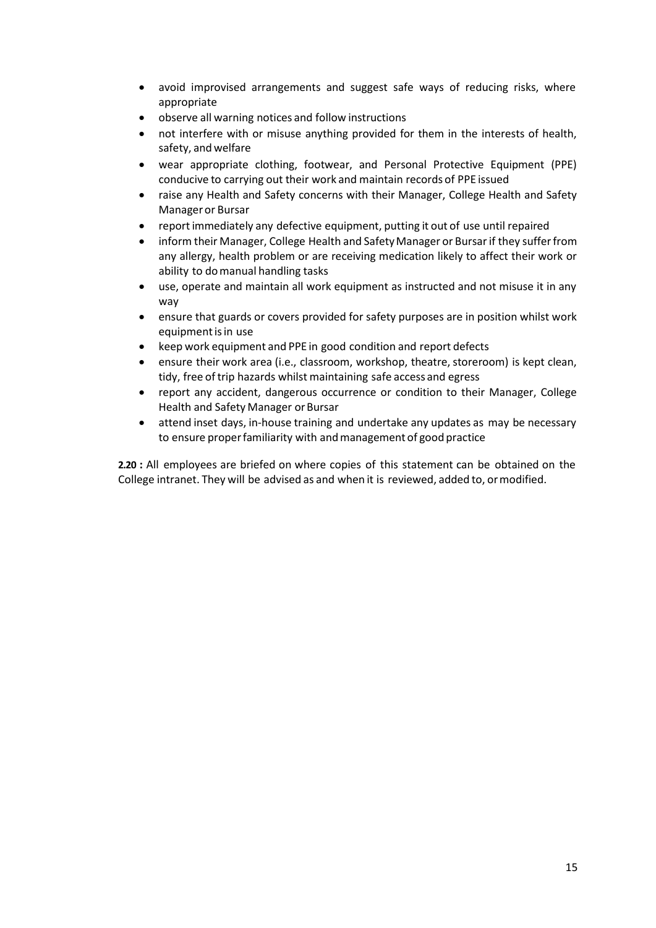- avoid improvised arrangements and suggest safe ways of reducing risks, where appropriate
- observe all warning notices and follow instructions
- not interfere with or misuse anything provided for them in the interests of health, safety, andwelfare
- wear appropriate clothing, footwear, and Personal Protective Equipment (PPE) conducive to carrying out their work and maintain records of PPE issued
- raise any Health and Safety concerns with their Manager, College Health and Safety Manageror Bursar
- reportimmediately any defective equipment, putting it out of use until repaired
- inform their Manager, College Health and SafetyManager or Bursarif they sufferfrom any allergy, health problem or are receiving medication likely to affect their work or ability to domanual handling tasks
- use, operate and maintain all work equipment as instructed and not misuse it in any way
- ensure that guards or covers provided for safety purposes are in position whilst work equipment is in use
- keep work equipment and PPE in good condition and report defects
- ensure their work area (i.e., classroom, workshop, theatre, storeroom) is kept clean, tidy, free of trip hazards whilst maintaining safe access and egress
- report any accident, dangerous occurrence or condition to their Manager, College Health and Safety Manager or Bursar
- attend inset days, in-house training and undertake any updates as may be necessary to ensure properfamiliarity with andmanagement of good practice

**2.20 :** All employees are briefed on where copies of this statement can be obtained on the College intranet. They will be advised as and when it is reviewed, added to, ormodified.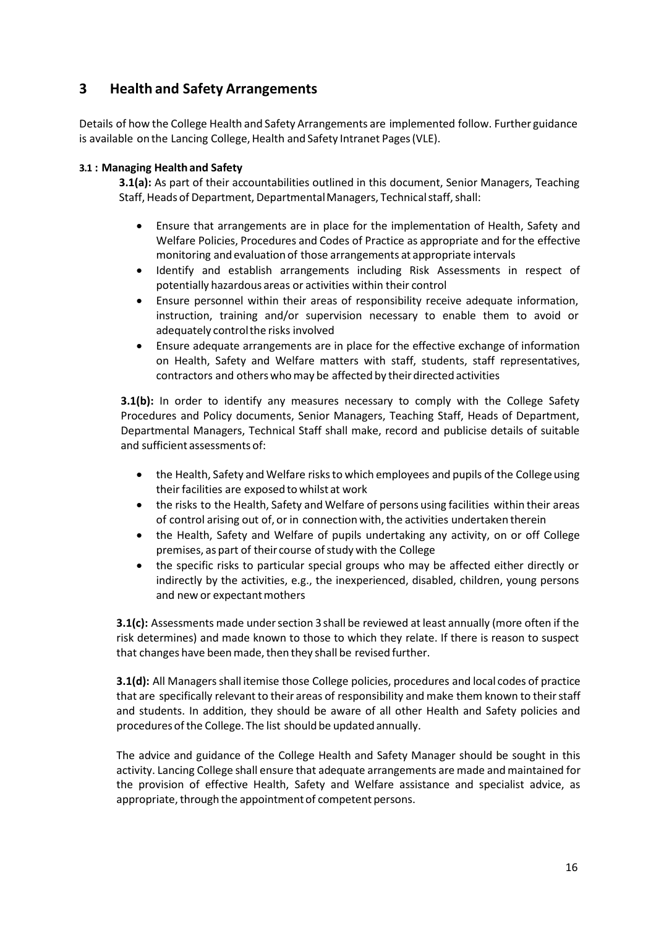# **3 Health and Safety Arrangements**

Details of how the College Health and Safety Arrangements are implemented follow. Further guidance is available on the Lancing College, Health and Safety Intranet Pages (VLE).

#### **3.1 : Managing Health and Safety**

**3.1(a):** As part of their accountabilities outlined in this document, Senior Managers, Teaching Staff, Heads of Department, Departmental Managers, Technical staff, shall:

- Ensure that arrangements are in place for the implementation of Health, Safety and Welfare Policies, Procedures and Codes of Practice as appropriate and forthe effective monitoring and evaluationof those arrangements at appropriate intervals
- Identify and establish arrangements including Risk Assessments in respect of potentially hazardous areas or activities within their control
- Ensure personnel within their areas of responsibility receive adequate information, instruction, training and/or supervision necessary to enable them to avoid or adequately controlthe risks involved
- Ensure adequate arrangements are in place for the effective exchange of information on Health, Safety and Welfare matters with staff, students, staff representatives, contractors and others who may be affected by their directed activities

**3.1(b):** In order to identify any measures necessary to comply with the College Safety Procedures and Policy documents, Senior Managers, Teaching Staff, Heads of Department, Departmental Managers, Technical Staff shall make, record and publicise details of suitable and sufficient assessments of:

- the Health, Safety and Welfare risks to which employees and pupils of the College using their facilities are exposedto whilst at work
- the risks to the Health, Safety and Welfare of persons using facilities within their areas of control arising out of, or in connection with, the activities undertaken therein
- the Health, Safety and Welfare of pupils undertaking any activity, on or off College premises, as part of their course of study with the College
- the specific risks to particular special groups who may be affected either directly or indirectly by the activities, e.g., the inexperienced, disabled, children, young persons and new or expectant mothers

**3.1(c):** Assessments made under section 3 shall be reviewed at least annually (more often if the risk determines) and made known to those to which they relate. If there is reason to suspect that changes have been made, then they shall be revised further.

**3.1(d):** All Managersshall itemise those College policies, procedures and local codes of practice that are specifically relevant to their areas of responsibility and make them known to their staff and students. In addition, they should be aware of all other Health and Safety policies and procedures of the College. The list should be updated annually.

The advice and guidance of the College Health and Safety Manager should be sought in this activity. Lancing College shall ensure that adequate arrangements are made and maintained for the provision of effective Health, Safety and Welfare assistance and specialist advice, as appropriate, through the appointment of competent persons.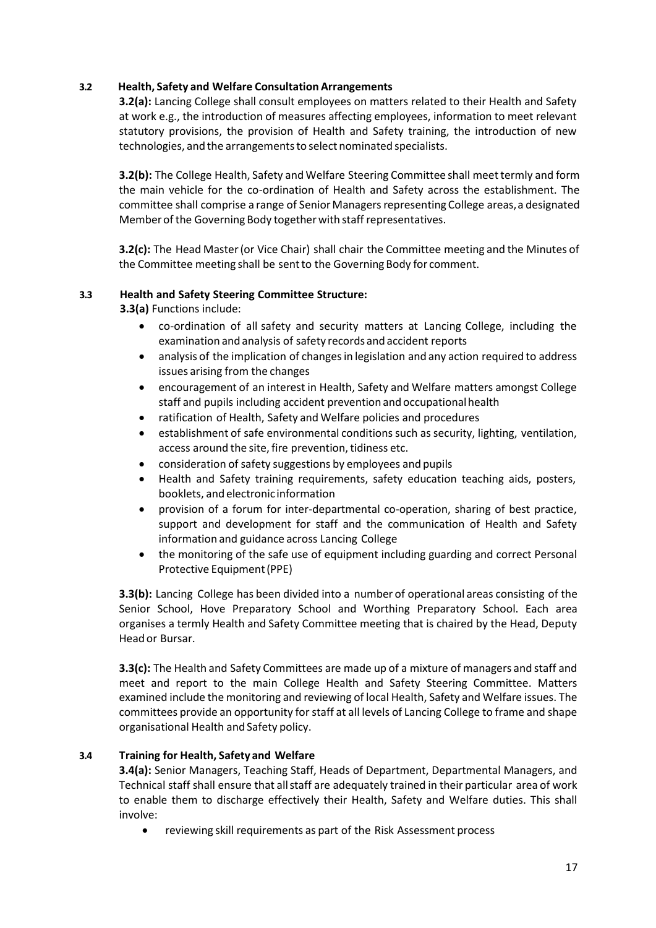#### **3.2 Health, Safety and Welfare Consultation Arrangements**

**3.2(a):** Lancing College shall consult employees on matters related to their Health and Safety at work e.g., the introduction of measures affecting employees, information to meet relevant statutory provisions, the provision of Health and Safety training, the introduction of new technologies, and the arrangements to select nominated specialists.

**3.2(b):** The College Health, Safety and Welfare Steering Committee shall meet termly and form the main vehicle for the co-ordination of Health and Safety across the establishment. The committee shall comprise a range of Senior Managers representing College areas, a designated Member of the Governing Body together with staff representatives.

**3.2(c):** The Head Master(or Vice Chair) shall chair the Committee meeting and the Minutes of the Committee meeting shall be sentto the Governing Body for comment.

#### **3.3 Health and Safety Steering Committee Structure:**

**3.3(a)** Functions include:

- co-ordination of all safety and security matters at Lancing College, including the examination and analysis of safety records and accident reports
- analysis of the implication of changes in legislation and any action required to address issues arising from the changes
- encouragement of an interest in Health, Safety and Welfare matters amongst College staff and pupils including accident prevention and occupationalhealth
- ratification of Health, Safety and Welfare policies and procedures
- establishment of safe environmental conditions such as security, lighting, ventilation, access around the site, fire prevention, tidiness etc.
- consideration of safety suggestions by employees and pupils
- Health and Safety training requirements, safety education teaching aids, posters, booklets, and electronic information
- provision of a forum for inter-departmental co-operation, sharing of best practice, support and development for staff and the communication of Health and Safety information and guidance across Lancing College
- the monitoring of the safe use of equipment including guarding and correct Personal Protective Equipment(PPE)

**3.3(b):** Lancing College has been divided into a number of operational areas consisting of the Senior School, Hove Preparatory School and Worthing Preparatory School. Each area organises a termly Health and Safety Committee meeting that is chaired by the Head, Deputy Head or Bursar.

**3.3(c):** The Health and Safety Committees are made up of a mixture of managers and staff and meet and report to the main College Health and Safety Steering Committee. Matters examined include the monitoring and reviewing of local Health, Safety and Welfare issues. The committees provide an opportunity for staff at all levels of Lancing College to frame and shape organisational Health and Safety policy.

#### **3.4 Training for Health, Safety and Welfare**

**3.4(a):** Senior Managers, Teaching Staff, Heads of Department, Departmental Managers, and Technical staff shall ensure that allstaff are adequately trained in their particular area of work to enable them to discharge effectively their Health, Safety and Welfare duties. This shall involve:

• reviewing skill requirements as part of the Risk Assessment process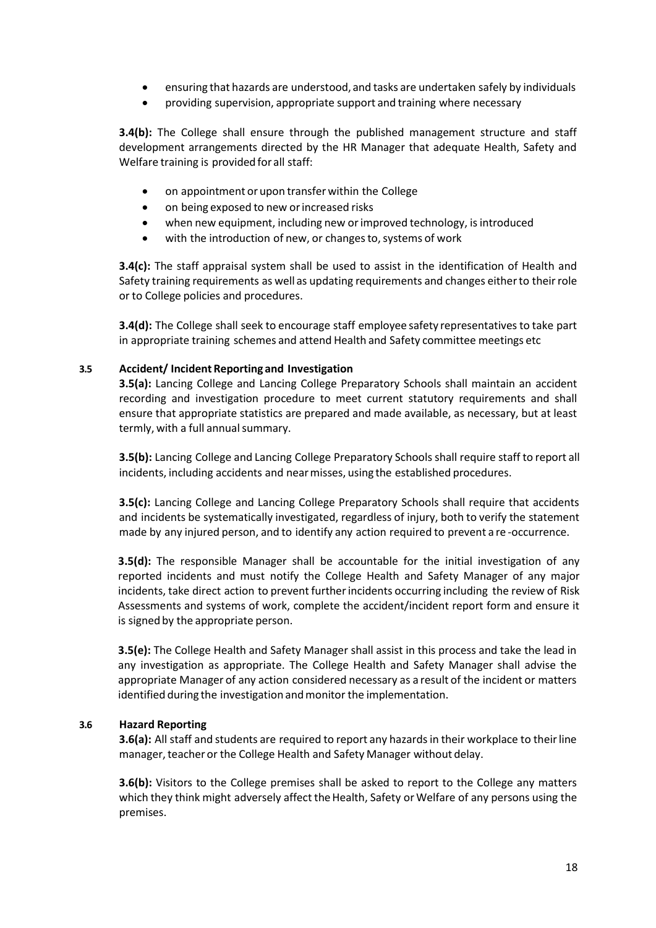- ensuring that hazards are understood, and tasks are undertaken safely by individuals
- providing supervision, appropriate support and training where necessary

**3.4(b):** The College shall ensure through the published management structure and staff development arrangements directed by the HR Manager that adequate Health, Safety and Welfare training is provided forall staff:

- on appointment or upon transfer within the College
- on being exposed to new orincreased risks
- when new equipment, including new or improved technology, is introduced
- with the introduction of new, or changes to, systems of work

**3.4(c):** The staff appraisal system shall be used to assist in the identification of Health and Safety training requirements as well as updating requirements and changes eitherto theirrole or to College policies and procedures.

**3.4(d):** The College shall seek to encourage staff employee safety representatives to take part in appropriate training schemes and attend Health and Safety committee meetings etc

#### **3.5 Accident/ Incident Reporting and Investigation**

**3.5(a):** Lancing College and Lancing College Preparatory Schools shall maintain an accident recording and investigation procedure to meet current statutory requirements and shall ensure that appropriate statistics are prepared and made available, as necessary, but at least termly, with a full annual summary.

**3.5(b):** Lancing College and Lancing College Preparatory Schoolsshall require staff to report all incidents, including accidents and nearmisses, using the established procedures.

**3.5(c):** Lancing College and Lancing College Preparatory Schools shall require that accidents and incidents be systematically investigated, regardless of injury, both to verify the statement made by any injured person, and to identify any action required to prevent a re -occurrence.

**3.5(d):** The responsible Manager shall be accountable for the initial investigation of any reported incidents and must notify the College Health and Safety Manager of any major incidents, take direct action to prevent further incidents occurring including the review of Risk Assessments and systems of work, complete the accident/incident report form and ensure it is signed by the appropriate person.

**3.5(e):** The College Health and Safety Manager shall assist in this process and take the lead in any investigation as appropriate. The College Health and Safety Manager shall advise the appropriate Manager of any action considered necessary as a result of the incident or matters identified during the investigation and monitor the implementation.

#### **3.6 Hazard Reporting**

**3.6(a):** All staff and students are required to report any hazardsin their workplace to theirline manager, teacher or the College Health and Safety Manager without delay.

**3.6(b):** Visitors to the College premises shall be asked to report to the College any matters which they think might adversely affect the Health, Safety or Welfare of any persons using the premises.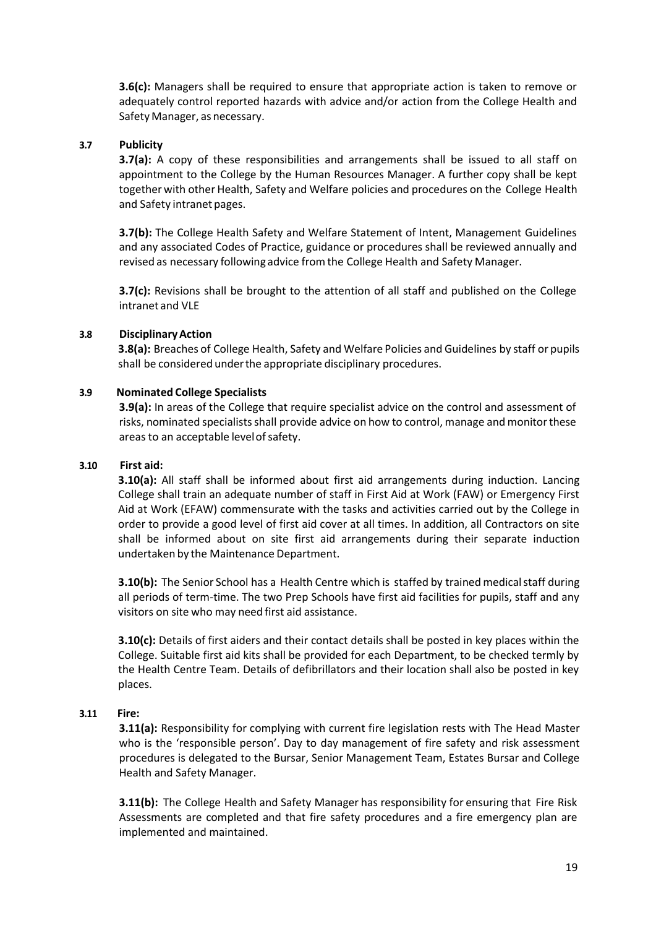**3.6(c):** Managers shall be required to ensure that appropriate action is taken to remove or adequately control reported hazards with advice and/or action from the College Health and Safety Manager, as necessary.

#### **3.7 Publicity**

**3.7(a):** A copy of these responsibilities and arrangements shall be issued to all staff on appointment to the College by the Human Resources Manager. A further copy shall be kept together with other Health, Safety and Welfare policies and procedures on the College Health and Safety intranet pages.

**3.7(b):** The College Health Safety and Welfare Statement of Intent, Management Guidelines and any associated Codes of Practice, guidance or procedures shall be reviewed annually and revised as necessary following advice fromthe College Health and Safety Manager.

**3.7(c):** Revisions shall be brought to the attention of all staff and published on the College intranet and VLE

#### **3.8 DisciplinaryAction**

**3.8(a):** Breaches of College Health, Safety and Welfare Policies and Guidelines by staff or pupils shall be considered underthe appropriate disciplinary procedures.

#### **3.9 Nominated College Specialists**

**3.9(a):** In areas of the College that require specialist advice on the control and assessment of risks, nominated specialists shall provide advice on how to control, manage and monitor these areas to an acceptable levelofsafety.

#### **3.10 First aid:**

**3.10(a):** All staff shall be informed about first aid arrangements during induction. Lancing College shall train an adequate number of staff in First Aid at Work (FAW) or Emergency First Aid at Work (EFAW) commensurate with the tasks and activities carried out by the College in order to provide a good level of first aid cover at all times. In addition, all Contractors on site shall be informed about on site first aid arrangements during their separate induction undertaken by the Maintenance Department.

**3.10(b):** The Senior School has a Health Centre which is staffed by trained medical staff during all periods of term-time. The two Prep Schools have first aid facilities for pupils, staff and any visitors on site who may need first aid assistance.

**3.10(c):** Details of first aiders and their contact details shall be posted in key places within the College. Suitable first aid kits shall be provided for each Department, to be checked termly by the Health Centre Team. Details of defibrillators and their location shall also be posted in key places.

#### **3.11 Fire:**

**3.11(a):** Responsibility for complying with current fire legislation rests with The Head Master who is the 'responsible person'. Day to day management of fire safety and risk assessment procedures is delegated to the Bursar, Senior Management Team, Estates Bursar and College Health and Safety Manager.

**3.11(b):** The College Health and Safety Manager has responsibility for ensuring that Fire Risk Assessments are completed and that fire safety procedures and a fire emergency plan are implemented and maintained.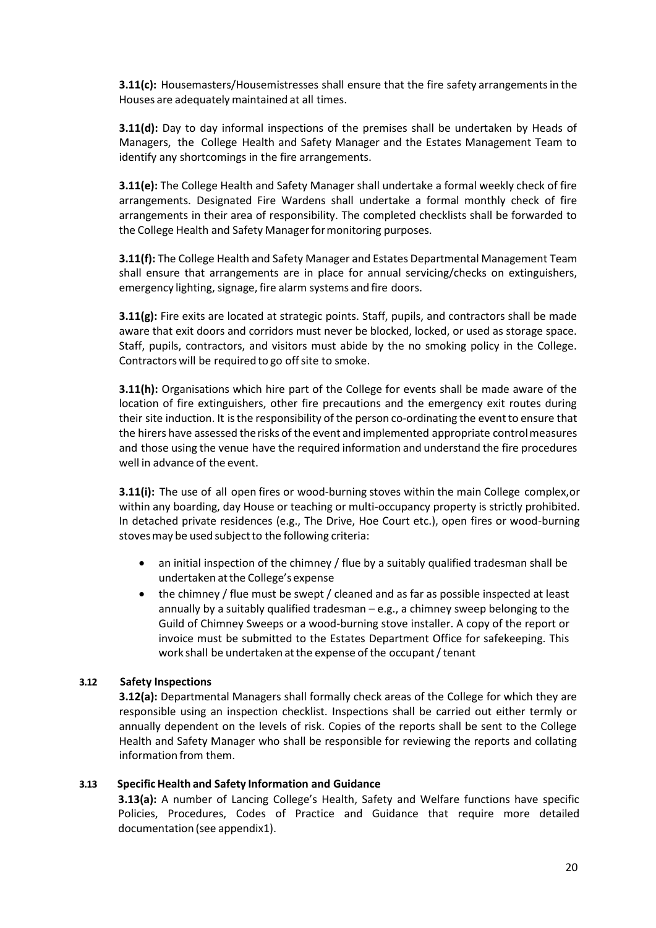**3.11(c):** Housemasters/Housemistresses shall ensure that the fire safety arrangements in the Houses are adequately maintained at all times.

**3.11(d):** Day to day informal inspections of the premises shall be undertaken by Heads of Managers, the College Health and Safety Manager and the Estates Management Team to identify any shortcomings in the fire arrangements.

**3.11(e):** The College Health and Safety Manager shall undertake a formal weekly check of fire arrangements. Designated Fire Wardens shall undertake a formal monthly check of fire arrangements in their area of responsibility. The completed checklists shall be forwarded to the College Health and Safety Manager for monitoring purposes.

**3.11(f):** The College Health and Safety Manager and Estates Departmental Management Team shall ensure that arrangements are in place for annual servicing/checks on extinguishers, emergency lighting, signage, fire alarm systems and fire doors.

**3.11(g):** Fire exits are located at strategic points. Staff, pupils, and contractors shall be made aware that exit doors and corridors must never be blocked, locked, or used as storage space. Staff, pupils, contractors, and visitors must abide by the no smoking policy in the College. Contractors will be required to go off site to smoke.

**3.11(h):** Organisations which hire part of the College for events shall be made aware of the location of fire extinguishers, other fire precautions and the emergency exit routes during their site induction. It isthe responsibility of the person co-ordinating the eventto ensure that the hirers have assessed therisks of the event and implemented appropriate controlmeasures and those using the venue have the required information and understand the fire procedures well in advance of the event.

**3.11(i):** The use of all open fires or wood-burning stoves within the main College complex,or within any boarding, day House or teaching or multi-occupancy property is strictly prohibited. In detached private residences (e.g., The Drive, Hoe Court etc.), open fires or wood-burning stoves may be used subject to the following criteria:

- an initial inspection of the chimney / flue by a suitably qualified tradesman shall be undertaken atthe College's expense
- the chimney / flue must be swept / cleaned and as far as possible inspected at least annually by a suitably qualified tradesman – e.g., a chimney sweep belonging to the Guild of Chimney Sweeps or a wood-burning stove installer. A copy of the report or invoice must be submitted to the Estates Department Office for safekeeping. This work shall be undertaken at the expense of the occupant / tenant

#### **3.12 Safety Inspections**

**3.12(a):** Departmental Managers shall formally check areas of the College for which they are responsible using an inspection checklist. Inspections shall be carried out either termly or annually dependent on the levels of risk. Copies of the reports shall be sent to the College Health and Safety Manager who shall be responsible for reviewing the reports and collating information from them.

#### **3.13 Specific Health and Safety Information and Guidance**

**3.13(a):** A number of Lancing College's Health, Safety and Welfare functions have specific Policies, Procedures, Codes of Practice and Guidance that require more detailed documentation (see appendix1).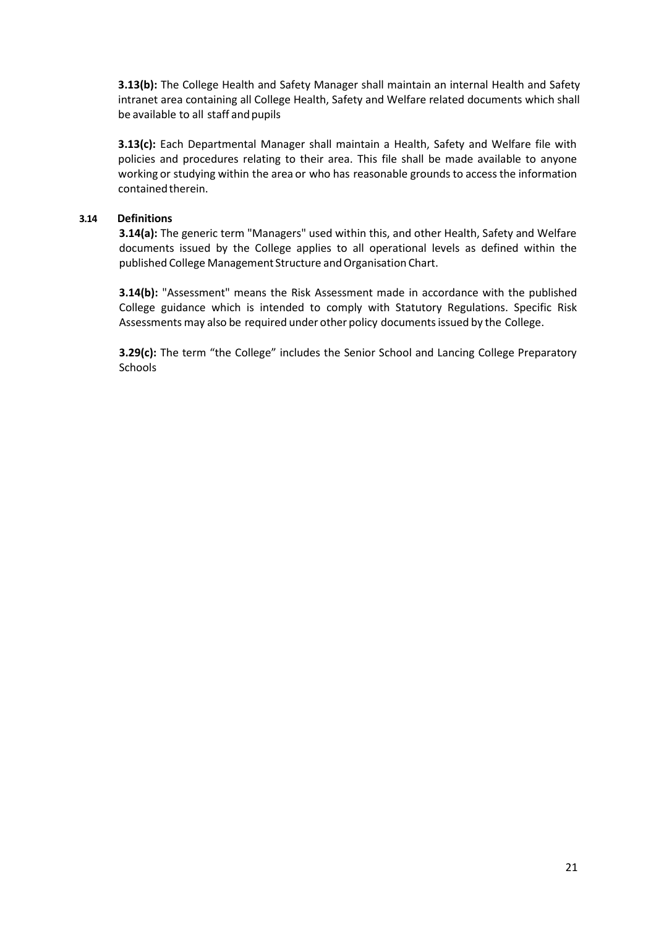**3.13(b):** The College Health and Safety Manager shall maintain an internal Health and Safety intranet area containing all College Health, Safety and Welfare related documents which shall be available to all staff and pupils

**3.13(c):** Each Departmental Manager shall maintain a Health, Safety and Welfare file with policies and procedures relating to their area. This file shall be made available to anyone working or studying within the area or who has reasonable grounds to access the information contained therein.

#### **3.14 Definitions**

**3.14(a):** The generic term "Managers" used within this, and other Health, Safety and Welfare documents issued by the College applies to all operational levels as defined within the published College Management Structure and Organisation Chart.

**3.14(b):** "Assessment" means the Risk Assessment made in accordance with the published College guidance which is intended to comply with Statutory Regulations. Specific Risk Assessments may also be required under other policy documentsissued by the College.

**3.29(c):** The term "the College" includes the Senior School and Lancing College Preparatory **Schools**